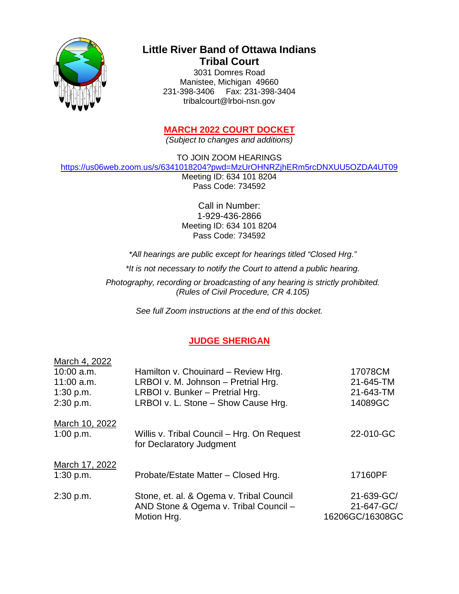

# **Little River Band of Ottawa Indians Tribal Court**

3031 Domres Road Manistee, Michigan 49660 231-398-3406 Fax: 231-398-3404 tribalcourt@lrboi-nsn.gov

## **MARCH 2022 COURT DOCKET**

*(Subject to changes and additions)*

TO JOIN ZOOM HEARINGS

<https://us06web.zoom.us/s/6341018204?pwd=MzUrOHNRZjhERm5rcDNXUU5OZDA4UT09>

Meeting ID: 634 101 8204 Pass Code: 734592

Call in Number: 1-929-436-2866 Meeting ID: 634 101 8204 Pass Code: 734592

*\*All hearings are public except for hearings titled "Closed Hrg."*

*\*It is not necessary to notify the Court to attend a public hearing.* 

*Photography, recording or broadcasting of any hearing is strictly prohibited. (Rules of Civil Procedure, CR 4.105)*

*See full Zoom instructions at the end of this docket.*

## **JUDGE SHERIGAN**

| March 4, 2022<br>$10:00$ a.m.<br>$11:00$ a.m.<br>1:30 p.m.<br>2:30 p.m. | Hamilton v. Chouinard - Review Hrg.<br>LRBOI v. M. Johnson - Pretrial Hrg.<br>LRBOI v. Bunker - Pretrial Hrg.<br>LRBOI v. L. Stone - Show Cause Hrg. | 17078CM<br>21-645-TM<br>21-643-TM<br>14089GC |
|-------------------------------------------------------------------------|------------------------------------------------------------------------------------------------------------------------------------------------------|----------------------------------------------|
| March 10, 2022<br>1:00 p.m.                                             | Willis v. Tribal Council – Hrg. On Request<br>for Declaratory Judgment                                                                               | 22-010-GC                                    |
| March 17, 2022<br>1:30 p.m.                                             | Probate/Estate Matter - Closed Hrg.                                                                                                                  | 17160PF                                      |
| 2:30 p.m.                                                               | Stone, et. al. & Ogema v. Tribal Council<br>AND Stone & Ogema v. Tribal Council -<br>Motion Hrg.                                                     | 21-639-GC/<br>21-647-GC/<br>16206GC/16308GC  |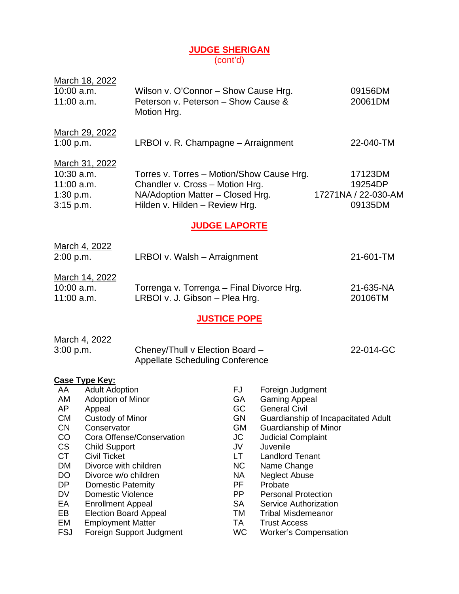#### **JUDGE SHERIGAN** (cont'd)

| Motion Hrg.                                                                                                                                                                                                                                                                                                                                                      |                                                                                                                                  |                                                                    |                                                                                                                                                                                                                                                                                                                                                                                                                                                                                                                     | 09156DM<br>20061DM                                                                                                                                                                                                                                                                                                         |
|------------------------------------------------------------------------------------------------------------------------------------------------------------------------------------------------------------------------------------------------------------------------------------------------------------------------------------------------------------------|----------------------------------------------------------------------------------------------------------------------------------|--------------------------------------------------------------------|---------------------------------------------------------------------------------------------------------------------------------------------------------------------------------------------------------------------------------------------------------------------------------------------------------------------------------------------------------------------------------------------------------------------------------------------------------------------------------------------------------------------|----------------------------------------------------------------------------------------------------------------------------------------------------------------------------------------------------------------------------------------------------------------------------------------------------------------------------|
|                                                                                                                                                                                                                                                                                                                                                                  |                                                                                                                                  |                                                                    |                                                                                                                                                                                                                                                                                                                                                                                                                                                                                                                     | 22-040-TM                                                                                                                                                                                                                                                                                                                  |
|                                                                                                                                                                                                                                                                                                                                                                  |                                                                                                                                  |                                                                    |                                                                                                                                                                                                                                                                                                                                                                                                                                                                                                                     | 17123DM<br>19254DP<br>17271NA / 22-030-AM<br>09135DM                                                                                                                                                                                                                                                                       |
|                                                                                                                                                                                                                                                                                                                                                                  |                                                                                                                                  |                                                                    |                                                                                                                                                                                                                                                                                                                                                                                                                                                                                                                     |                                                                                                                                                                                                                                                                                                                            |
|                                                                                                                                                                                                                                                                                                                                                                  |                                                                                                                                  |                                                                    |                                                                                                                                                                                                                                                                                                                                                                                                                                                                                                                     | 21-601-TM                                                                                                                                                                                                                                                                                                                  |
|                                                                                                                                                                                                                                                                                                                                                                  |                                                                                                                                  |                                                                    |                                                                                                                                                                                                                                                                                                                                                                                                                                                                                                                     | 21-635-NA<br>20106TM                                                                                                                                                                                                                                                                                                       |
|                                                                                                                                                                                                                                                                                                                                                                  |                                                                                                                                  |                                                                    |                                                                                                                                                                                                                                                                                                                                                                                                                                                                                                                     |                                                                                                                                                                                                                                                                                                                            |
|                                                                                                                                                                                                                                                                                                                                                                  |                                                                                                                                  |                                                                    |                                                                                                                                                                                                                                                                                                                                                                                                                                                                                                                     | 22-014-GC                                                                                                                                                                                                                                                                                                                  |
| <b>Adult Adoption</b><br>Adoption of Minor<br>Custody of Minor<br>Conservator<br>Cora Offense/Conservation<br><b>Child Support</b><br>Divorce with children<br>Divorce w/o children<br><b>Domestic Paternity</b><br><b>Domestic Violence</b><br><b>Enrollment Appeal</b><br><b>Election Board Appeal</b><br><b>Employment Matter</b><br>Foreign Support Judgment | FJ.<br>GA<br>GC<br>GN<br><b>GM</b><br>JC<br>JV<br>LT<br><b>NC</b><br><b>NA</b><br>PF<br>PP<br><b>SA</b><br>TM<br>TA<br><b>WC</b> | <b>General Civil</b><br>Juvenile<br>Probate<br><b>Trust Access</b> |                                                                                                                                                                                                                                                                                                                                                                                                                                                                                                                     |                                                                                                                                                                                                                                                                                                                            |
|                                                                                                                                                                                                                                                                                                                                                                  |                                                                                                                                  |                                                                    | Wilson v. O'Connor - Show Cause Hrg.<br>Peterson v. Peterson - Show Cause &<br>LRBOI v. R. Champagne - Arraignment<br>Torres v. Torres - Motion/Show Cause Hrg.<br>Chandler v. Cross - Motion Hrg.<br>NA/Adoption Matter - Closed Hrg.<br>Hilden v. Hilden - Review Hrg.<br><b>JUDGE LAPORTE</b><br>LRBOI v. Walsh - Arraignment<br>Torrenga v. Torrenga - Final Divorce Hrg.<br>LRBOI v. J. Gibson - Plea Hrg.<br><b>JUSTICE POPE</b><br>Cheney/Thull v Election Board -<br><b>Appellate Scheduling Conference</b> | Foreign Judgment<br><b>Gaming Appeal</b><br>Guardianship of Incapacitated Adult<br>Guardianship of Minor<br><b>Judicial Complaint</b><br><b>Landlord Tenant</b><br>Name Change<br><b>Neglect Abuse</b><br><b>Personal Protection</b><br>Service Authorization<br><b>Tribal Misdemeanor</b><br><b>Worker's Compensation</b> |